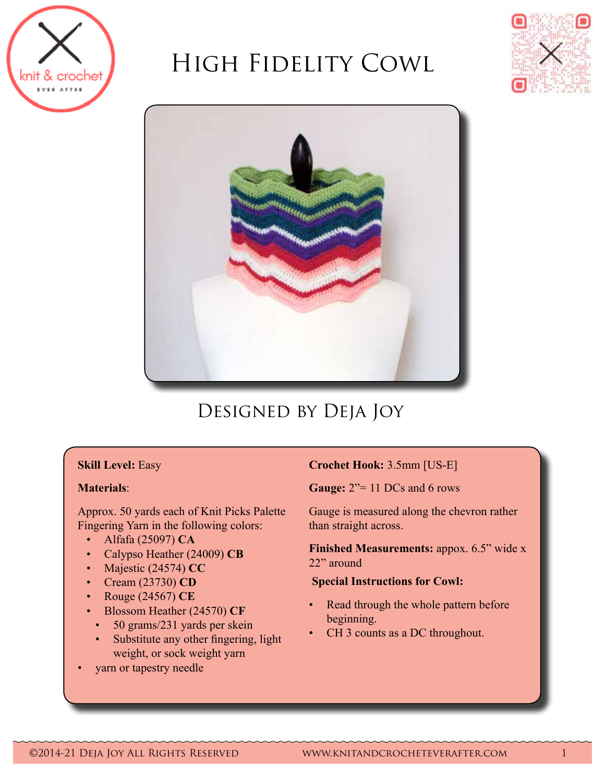

# High Fidelity Cowl





# Designed by Deja Joy

# **Skill Level:** Easy

# **Materials**:

Approx. 50 yards each of Knit Picks Palette Fingering Yarn in the following colors:

- • Alfafa (25097) **CA**
- Calypso Heather (24009) CB
- • Majestic (24574) **CC**
- • Cream (23730) **CD**
- • Rouge (24567) **CE**
- **Blossom Heather (24570) CF**
- 50 grams/231 yards per skein
- Substitute any other fingering, light weight, or sock weight yarn
- yarn or tapestry needle

# **Crochet Hook:** 3.5mm [US-E]

**Gauge:** 2"= 11 DCs and 6 rows

Gauge is measured along the chevron rather than straight across.

**Finished Measurements:** appox. 6.5" wide x 22" around

#### **Special Instructions for Cowl:**

- Read through the whole pattern before beginning.
- CH 3 counts as a DC throughout.